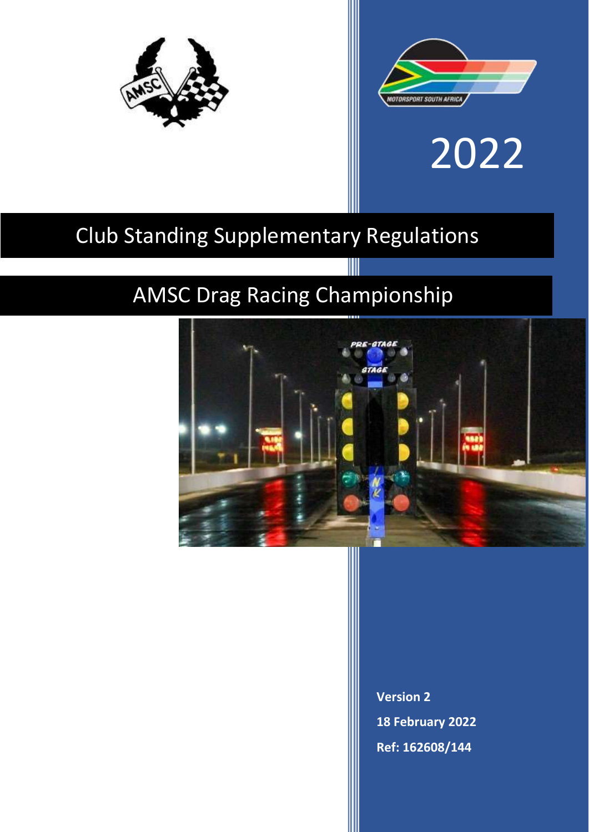



# 2022

## Club Standing Supplementary Regulations

### AMSC Drag Racing Championship



**Version 2 18 February 2022 Ref: 162608/144**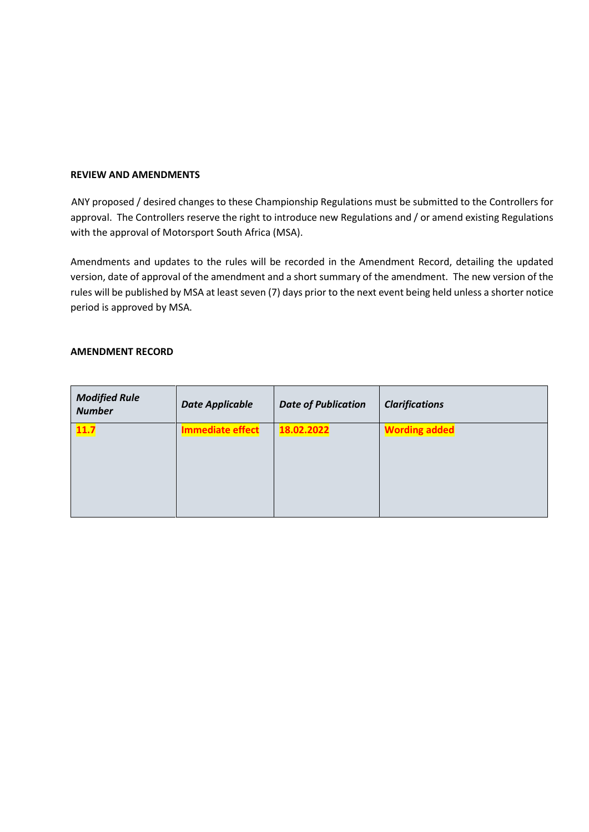#### **REVIEW AND AMENDMENTS**

ANY proposed / desired changes to these Championship Regulations must be submitted to the Controllers for approval. The Controllers reserve the right to introduce new Regulations and / or amend existing Regulations with the approval of Motorsport South Africa (MSA).

Amendments and updates to the rules will be recorded in the Amendment Record, detailing the updated version, date of approval of the amendment and a short summary of the amendment. The new version of the rules will be published by MSA at least seven (7) days prior to the next event being held unless a shorter notice period is approved by MSA.

#### **AMENDMENT RECORD**

| <b>Modified Rule</b><br><b>Number</b> | <b>Date Applicable</b>  | <b>Date of Publication</b> | <b>Clarifications</b> |
|---------------------------------------|-------------------------|----------------------------|-----------------------|
| 11.7                                  | <b>Immediate effect</b> | 18.02.2022                 | <b>Wording added</b>  |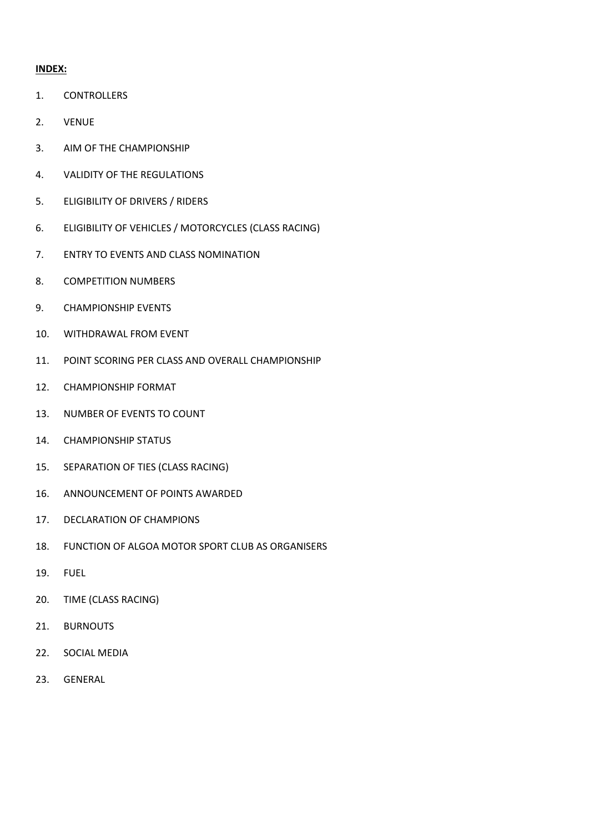#### **INDEX:**

- 1. CONTROLLERS
- 2. VENUE
- 3. AIM OF THE CHAMPIONSHIP
- 4. VALIDITY OF THE REGULATIONS
- 5. ELIGIBILITY OF DRIVERS / RIDERS
- 6. ELIGIBILITY OF VEHICLES / MOTORCYCLES (CLASS RACING)
- 7. ENTRY TO EVENTS AND CLASS NOMINATION
- 8. COMPETITION NUMBERS
- 9. CHAMPIONSHIP EVENTS
- 10. WITHDRAWAL FROM EVENT
- 11. POINT SCORING PER CLASS AND OVERALL CHAMPIONSHIP
- 12. CHAMPIONSHIP FORMAT
- 13. NUMBER OF EVENTS TO COUNT
- 14. CHAMPIONSHIP STATUS
- 15. SEPARATION OF TIES (CLASS RACING)
- 16. ANNOUNCEMENT OF POINTS AWARDED
- 17. DECLARATION OF CHAMPIONS
- 18. FUNCTION OF ALGOA MOTOR SPORT CLUB AS ORGANISERS
- 19. FUEL
- 20. TIME (CLASS RACING)
- 21. BURNOUTS
- 22. SOCIAL MEDIA
- 23. GENERAL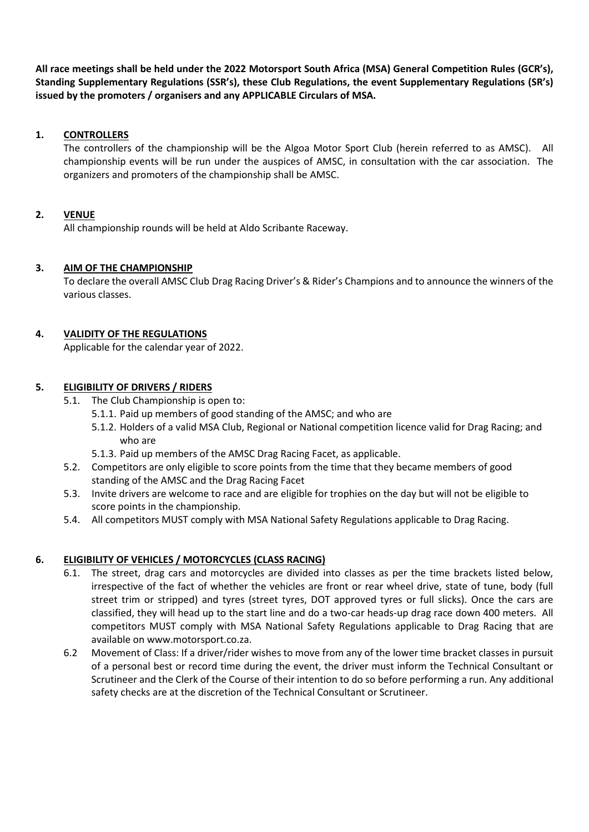**All race meetings shall be held under the 2022 Motorsport South Africa (MSA) General Competition Rules (GCR's), Standing Supplementary Regulations (SSR's), these Club Regulations, the event Supplementary Regulations (SR's) issued by the promoters / organisers and any APPLICABLE Circulars of MSA.** 

#### **1. CONTROLLERS**

The controllers of the championship will be the Algoa Motor Sport Club (herein referred to as AMSC). All championship events will be run under the auspices of AMSC, in consultation with the car association. The organizers and promoters of the championship shall be AMSC.

#### **2. VENUE**

All championship rounds will be held at Aldo Scribante Raceway.

#### **3. AIM OF THE CHAMPIONSHIP**

To declare the overall AMSC Club Drag Racing Driver's & Rider's Champions and to announce the winners of the various classes.

#### **4. VALIDITY OF THE REGULATIONS**

Applicable for the calendar year of 2022.

#### **5. ELIGIBILITY OF DRIVERS / RIDERS**

- 5.1. The Club Championship is open to:
	- 5.1.1. Paid up members of good standing of the AMSC; and who are
	- 5.1.2. Holders of a valid MSA Club, Regional or National competition licence valid for Drag Racing; and who are
	- 5.1.3. Paid up members of the AMSC Drag Racing Facet, as applicable.
- 5.2. Competitors are only eligible to score points from the time that they became members of good standing of the AMSC and the Drag Racing Facet
- 5.3. Invite drivers are welcome to race and are eligible for trophies on the day but will not be eligible to score points in the championship.
- 5.4. All competitors MUST comply with MSA National Safety Regulations applicable to Drag Racing.

#### **6. ELIGIBILITY OF VEHICLES / MOTORCYCLES (CLASS RACING)**

- 6.1. The street, drag cars and motorcycles are divided into classes as per the time brackets listed below, irrespective of the fact of whether the vehicles are front or rear wheel drive, state of tune, body (full street trim or stripped) and tyres (street tyres, DOT approved tyres or full slicks). Once the cars are classified, they will head up to the start line and do a two-car heads-up drag race down 400 meters. All competitors MUST comply with MSA National Safety Regulations applicable to Drag Racing that are available on www.motorsport.co.za.
- 6.2 Movement of Class: If a driver/rider wishes to move from any of the lower time bracket classes in pursuit of a personal best or record time during the event, the driver must inform the Technical Consultant or Scrutineer and the Clerk of the Course of their intention to do so before performing a run. Any additional safety checks are at the discretion of the Technical Consultant or Scrutineer.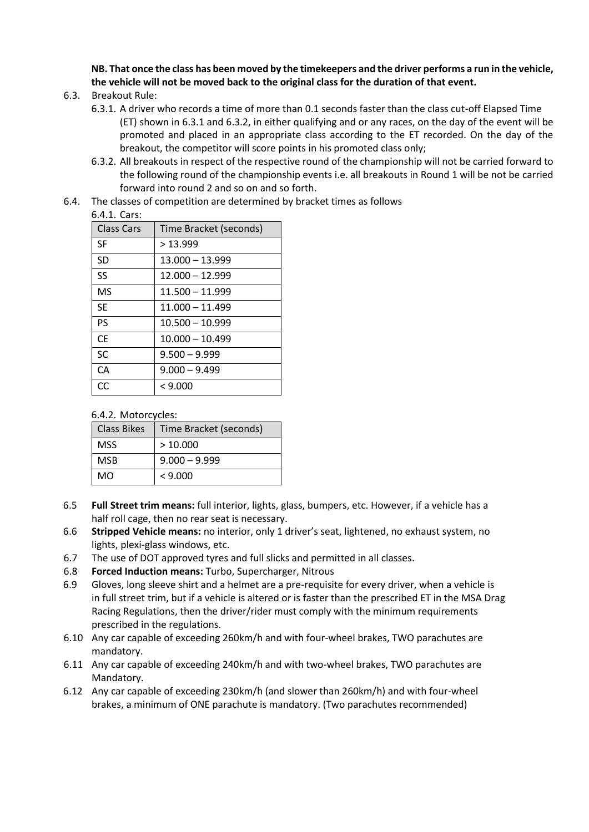**NB. That once the class has been moved by the timekeepers and the driver performs a run in the vehicle, the vehicle will not be moved back to the original class for the duration of that event.**

- 6.3. Breakout Rule:
	- 6.3.1. A driver who records a time of more than 0.1 seconds faster than the class cut-off Elapsed Time (ET) shown in 6.3.1 and 6.3.2, in either qualifying and or any races, on the day of the event will be promoted and placed in an appropriate class according to the ET recorded. On the day of the breakout, the competitor will score points in his promoted class only;
	- 6.3.2. All breakouts in respect of the respective round of the championship will not be carried forward to the following round of the championship events i.e. all breakouts in Round 1 will be not be carried forward into round 2 and so on and so forth.
- 6.4. The classes of competition are determined by bracket times as follows

#### $6.4.1$  Carc:

| <b>Class Cars</b> | Time Bracket (seconds) |
|-------------------|------------------------|
| <b>SF</b>         | >13.999                |
| <b>SD</b>         | $13.000 - 13.999$      |
| SS                | 12.000 - 12.999        |
| MS                | 11.500 - 11.999        |
| <b>SE</b>         | $11.000 - 11.499$      |
| PS                | $10.500 - 10.999$      |
| <b>CE</b>         | $10.000 - 10.499$      |
| <b>SC</b>         | $9.500 - 9.999$        |
| CA                | $9.000 - 9.499$        |
| CC                | < 9.000                |

#### 6.4.2. Motorcycles:

| <b>Class Bikes</b> | Time Bracket (seconds) |
|--------------------|------------------------|
| <b>MSS</b>         | >10.000                |
| <b>MSB</b>         | $9.000 - 9.999$        |
| MO                 | < 9.000                |

- 6.5 **Full Street trim means:** full interior, lights, glass, bumpers, etc. However, if a vehicle has a half roll cage, then no rear seat is necessary.
- 6.6 **Stripped Vehicle means:** no interior, only 1 driver's seat, lightened, no exhaust system, no lights, plexi-glass windows, etc.
- 6.7 The use of DOT approved tyres and full slicks and permitted in all classes.
- 6.8 **Forced Induction means:** Turbo, Supercharger, Nitrous
- 6.9 Gloves, long sleeve shirt and a helmet are a pre-requisite for every driver, when a vehicle is in full street trim, but if a vehicle is altered or is faster than the prescribed ET in the MSA Drag Racing Regulations, then the driver/rider must comply with the minimum requirements prescribed in the regulations.
- 6.10 Any car capable of exceeding 260km/h and with four-wheel brakes, TWO parachutes are mandatory.
- 6.11 Any car capable of exceeding 240km/h and with two-wheel brakes, TWO parachutes are Mandatory.
- 6.12 Any car capable of exceeding 230km/h (and slower than 260km/h) and with four-wheel brakes, a minimum of ONE parachute is mandatory. (Two parachutes recommended)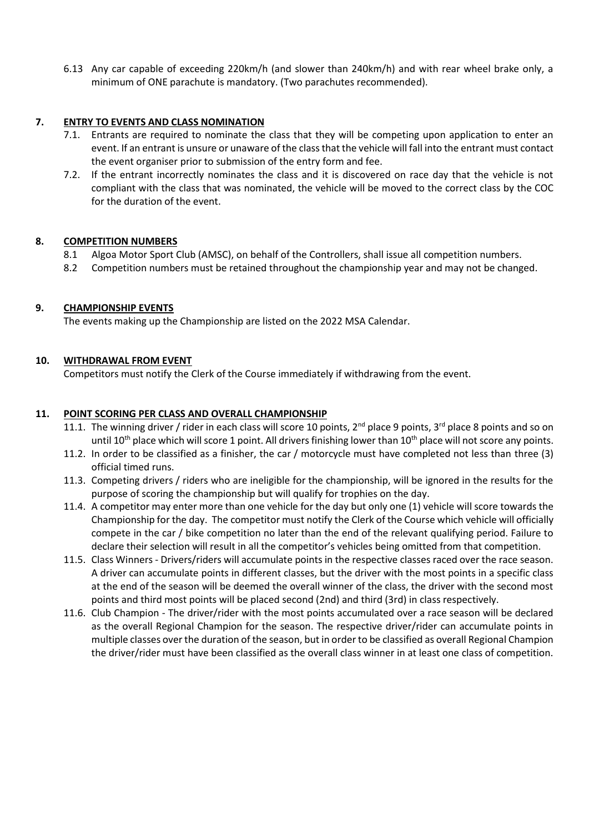6.13 Any car capable of exceeding 220km/h (and slower than 240km/h) and with rear wheel brake only, a minimum of ONE parachute is mandatory. (Two parachutes recommended).

#### **7. ENTRY TO EVENTS AND CLASS NOMINATION**

- 7.1. Entrants are required to nominate the class that they will be competing upon application to enter an event. If an entrant is unsure or unaware of the class that the vehicle will fall into the entrant must contact the event organiser prior to submission of the entry form and fee.
- 7.2. If the entrant incorrectly nominates the class and it is discovered on race day that the vehicle is not compliant with the class that was nominated, the vehicle will be moved to the correct class by the COC for the duration of the event.

#### **8. COMPETITION NUMBERS**

- 8.1 Algoa Motor Sport Club (AMSC), on behalf of the Controllers, shall issue all competition numbers.
- 8.2 Competition numbers must be retained throughout the championship year and may not be changed.

#### **9. CHAMPIONSHIP EVENTS**

The events making up the Championship are listed on the 2022 MSA Calendar.

#### **10. WITHDRAWAL FROM EVENT**

Competitors must notify the Clerk of the Course immediately if withdrawing from the event.

#### **11. POINT SCORING PER CLASS AND OVERALL CHAMPIONSHIP**

- 11.1. The winning driver / rider in each class will score 10 points,  $2^{nd}$  place 9 points,  $3^{rd}$  place 8 points and so on until  $10^{th}$  place which will score 1 point. All drivers finishing lower than  $10^{th}$  place will not score any points.
- 11.2. In order to be classified as a finisher, the car / motorcycle must have completed not less than three (3) official timed runs.
- 11.3. Competing drivers / riders who are ineligible for the championship, will be ignored in the results for the purpose of scoring the championship but will qualify for trophies on the day.
- 11.4. A competitor may enter more than one vehicle for the day but only one (1) vehicle will score towards the Championship for the day. The competitor must notify the Clerk of the Course which vehicle will officially compete in the car / bike competition no later than the end of the relevant qualifying period. Failure to declare their selection will result in all the competitor's vehicles being omitted from that competition.
- 11.5. Class Winners Drivers/riders will accumulate points in the respective classes raced over the race season. A driver can accumulate points in different classes, but the driver with the most points in a specific class at the end of the season will be deemed the overall winner of the class, the driver with the second most points and third most points will be placed second (2nd) and third (3rd) in class respectively.
- 11.6. Club Champion The driver/rider with the most points accumulated over a race season will be declared as the overall Regional Champion for the season. The respective driver/rider can accumulate points in multiple classes over the duration of the season, but in order to be classified as overall Regional Champion the driver/rider must have been classified as the overall class winner in at least one class of competition.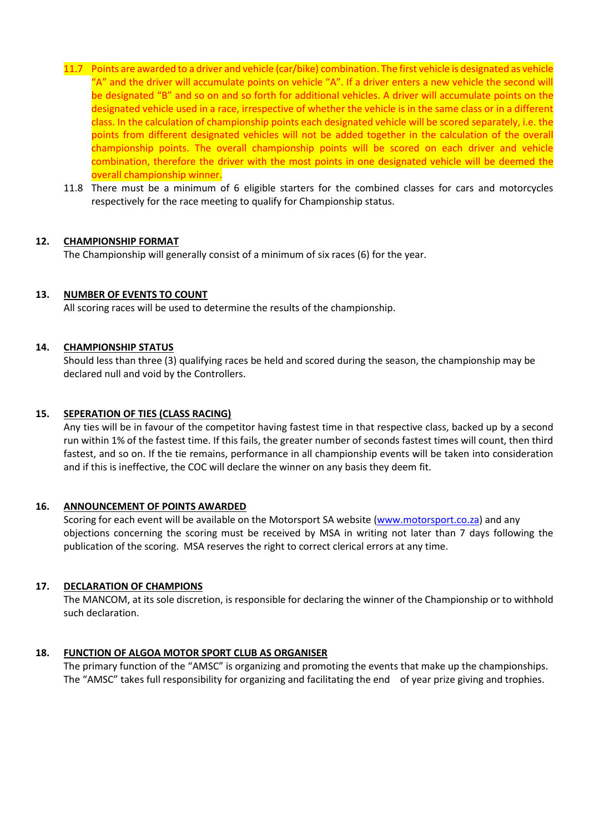- 11.7 Points are awarded to a driver and vehicle (car/bike) combination. The first vehicle is designated as vehicle "A" and the driver will accumulate points on vehicle "A". If a driver enters a new vehicle the second will be designated "B" and so on and so forth for additional vehicles. A driver will accumulate points on the designated vehicle used in a race, irrespective of whether the vehicle is in the same class or in a different class. In the calculation of championship points each designated vehicle will be scored separately, i.e. the points from different designated vehicles will not be added together in the calculation of the overall championship points. The overall championship points will be scored on each driver and vehicle combination, therefore the driver with the most points in one designated vehicle will be deemed the overall championship winner.
- 11.8 There must be a minimum of 6 eligible starters for the combined classes for cars and motorcycles respectively for the race meeting to qualify for Championship status.

#### **12. CHAMPIONSHIP FORMAT**

The Championship will generally consist of a minimum of six races (6) for the year.

#### **13. NUMBER OF EVENTS TO COUNT**

All scoring races will be used to determine the results of the championship.

#### **14. CHAMPIONSHIP STATUS**

Should less than three (3) qualifying races be held and scored during the season, the championship may be declared null and void by the Controllers.

#### **15. SEPERATION OF TIES (CLASS RACING)**

Any ties will be in favour of the competitor having fastest time in that respective class, backed up by a second run within 1% of the fastest time. If this fails, the greater number of seconds fastest times will count, then third fastest, and so on. If the tie remains, performance in all championship events will be taken into consideration and if this is ineffective, the COC will declare the winner on any basis they deem fit.

#### **16. ANNOUNCEMENT OF POINTS AWARDED**

Scoring for each event will be available on the Motorsport SA website [\(www.motorsport.co.za\)](http://www.motorsport.co.za/) and any objections concerning the scoring must be received by MSA in writing not later than 7 days following the publication of the scoring. MSA reserves the right to correct clerical errors at any time.

#### **17. DECLARATION OF CHAMPIONS**

The MANCOM, at its sole discretion, is responsible for declaring the winner of the Championship or to withhold such declaration.

#### **18. FUNCTION OF ALGOA MOTOR SPORT CLUB AS ORGANISER**

The primary function of the "AMSC" is organizing and promoting the events that make up the championships. The "AMSC" takes full responsibility for organizing and facilitating the end of year prize giving and trophies.